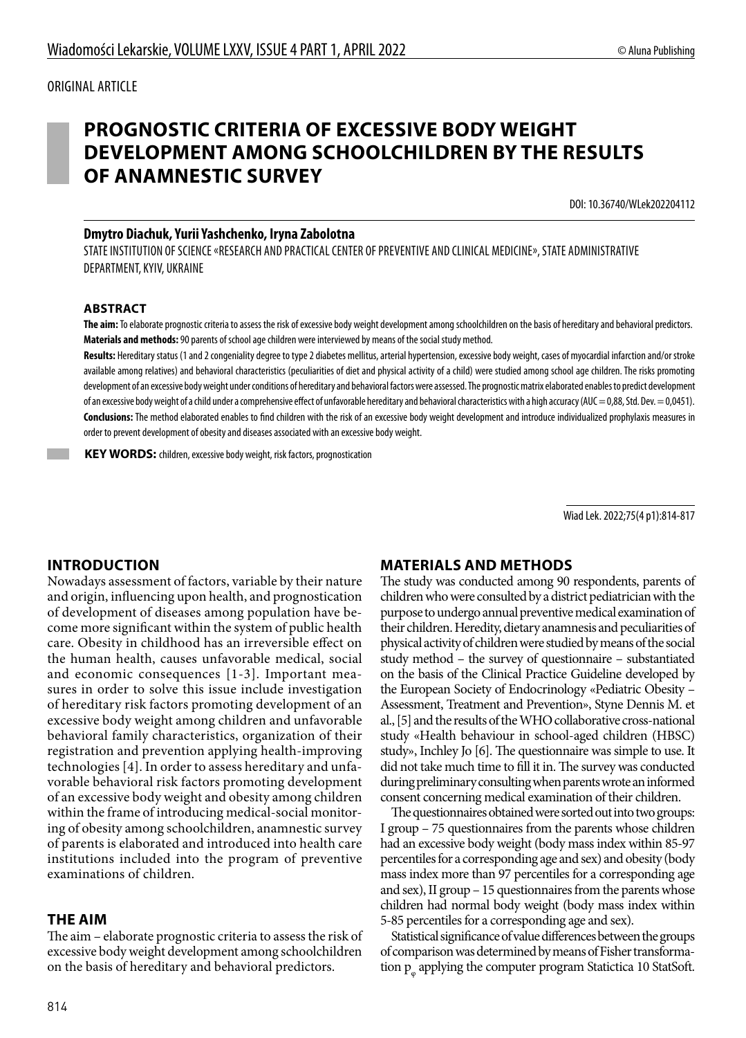## ORIGINAL ARTICLE

# **PROGNOSTIC CRITERIA OF EXCESSIVE BODY WEIGHT DEVELOPMENT AMONG SCHOOLCHILDREN BY THE RESULTS OF ANAMNESTIC SURVEY**

DOI: 10.36740/WLek202204112

#### **Dmytro Diachuk, Yurii Yashchenko, Iryna Zabolotna**

STATE INSTITUTION OF SCIENCE «RESEARCH AND PRACTICAL CENTER OF PREVENTIVE AND CLINICAL MEDICINE», STATE ADMINISTRATIVE DEPARTMENT, KYIV, UKRAINE

#### **ABSTRACT**

**The aim:** To elaborate prognostic criteria to assess the risk of excessive body weight development among schoolchildren on the basis of hereditary and behavioral predictors. **Materials and methods:** 90 parents of school age children were interviewed by means of the social study method.

Results: Hereditary status (1 and 2 congeniality degree to type 2 diabetes mellitus, arterial hypertension, excessive body weight, cases of myocardial infarction and/or stroke available among relatives) and behavioral characteristics (peculiarities of diet and physical activity of a child) were studied among school age children. The risks promoting development of an excessive body weight under conditions of hereditary and behavioral factors were assessed. The prognostic matrix elaborated enables to predict development of an excessive body weight of a child under a comprehensive effect of unfavorable hereditary and behavioral characteristics with a high accuracy (AUC = 0,88, Std. Dev. = 0,0451). **Conclusions:** The method elaborated enables to find children with the risk of an excessive body weight development and introduce individualized prophylaxis measures in order to prevent development of obesity and diseases associated with an excessive body weight.

**KEY WORDS:** children, excessive body weight, risk factors, prognostication

Wiad Lek. 2022;75(4 p1):814-817

## **INTRODUCTION**

Nowadays assessment of factors, variable by their nature and origin, influencing upon health, and prognostication of development of diseases among population have become more significant within the system of public health care. Obesity in childhood has an irreversible effect on the human health, causes unfavorable medical, social and economic consequences [1-3]. Important measures in order to solve this issue include investigation of hereditary risk factors promoting development of an excessive body weight among children and unfavorable behavioral family characteristics, organization of their registration and prevention applying health-improving technologies [4]. In order to assess hereditary and unfavorable behavioral risk factors promoting development of an excessive body weight and obesity among children within the frame of introducing medical-social monitoring of obesity among schoolchildren, anamnestic survey of parents is elaborated and introduced into health care institutions included into the program of preventive examinations of children.

#### **THE AIM**

The aim – elaborate prognostic criteria to assess the risk of excessive body weight development among schoolchildren on the basis of hereditary and behavioral predictors.

## **MATERIALS AND METHODS**

The study was conducted among 90 respondents, parents of children who were consulted by a district pediatrician with the purpose to undergo annual preventive medical examination of their children. Heredity, dietary anamnesis and peculiarities of physical activity of children were studied by means of the social study method – the survey of questionnaire – substantiated on the basis of the Clinical Practice Guideline developed by the European Society of Endocrinology «Pediatric Obesity – Assessment, Treatment and Prevention», Styne Dennis M. et al., [5] and the results of the WHO collaborative cross-national study «Нealth behaviour in school-aged children (HBSC) study», Inchley Jo [6]. The questionnaire was simple to use. It did not take much time to fill it in. The survey was conducted during preliminary consulting when parents wrote an informed consent concerning medical examination of their children.

The questionnaires obtained were sorted out into two groups: І group – 75 questionnaires from the parents whose children had an excessive body weight (body mass index within 85-97 percentiles for a corresponding age and sex) and obesity (body mass index more than 97 percentiles for a corresponding age and sex), ІІ group – 15 questionnaires from the parents whose children had normal body weight (body mass index within 5-85 percentiles for a corresponding age and sex).

Statistical significance of value differences between the groups of comparison was determined by means of Fisher transformation  $p_{\varphi}$  applying the computer program Statictica 10 StatSoft.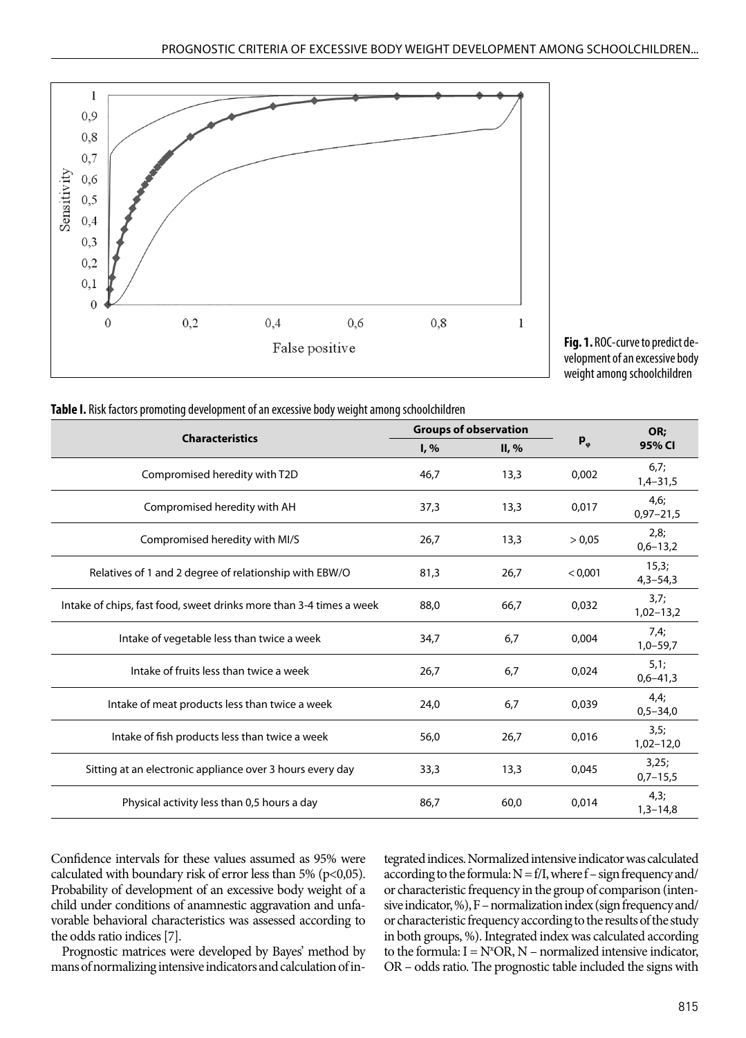

**Fig. 1.** ROC-curve to predict development of an excessive body weight among schoolchildren

| <b>Characteristics</b>                                              | <b>Groups of observation</b> |          |               | OR:                   |
|---------------------------------------------------------------------|------------------------------|----------|---------------|-----------------------|
|                                                                     | $I, \%$                      | $II, \%$ | $P_{\varphi}$ | 95% CI                |
| Compromised heredity with T2D                                       | 46,7                         | 13,3     | 0,002         | 6,7;<br>$1,4-31,5$    |
| Compromised heredity with AH                                        | 37,3                         | 13,3     | 0,017         | 4,6;<br>$0,97 - 21,5$ |
| Compromised heredity with MI/S                                      | 26,7                         | 13,3     | > 0,05        | 2,8;<br>$0,6 - 13,2$  |
| Relatives of 1 and 2 degree of relationship with EBW/O              | 81,3                         | 26,7     | < 0.001       | 15,3;<br>$4,3 - 54,3$ |
| Intake of chips, fast food, sweet drinks more than 3-4 times a week | 88,0                         | 66,7     | 0,032         | 3,7;<br>$1,02-13,2$   |
| Intake of vegetable less than twice a week                          | 34,7                         | 6,7      | 0,004         | 7,4;<br>$1,0-59,7$    |
| Intake of fruits less than twice a week                             | 26,7                         | 6,7      | 0,024         | 5,1;<br>$0,6 - 41,3$  |
| Intake of meat products less than twice a week                      | 24,0                         | 6,7      | 0,039         | 4,4;<br>$0,5 - 34,0$  |
| Intake of fish products less than twice a week                      | 56,0                         | 26,7     | 0,016         | 3,5;<br>$1,02 - 12,0$ |
| Sitting at an electronic appliance over 3 hours every day           | 33,3                         | 13,3     | 0,045         | 3,25;<br>$0,7 - 15,5$ |
| Physical activity less than 0,5 hours a day                         | 86,7                         | 60,0     | 0,014         | 4,3;<br>$1,3-14,8$    |
|                                                                     |                              |          |               |                       |

|  |  | Table I. Risk factors promoting development of an excessive body weight among schoolchildren |
|--|--|----------------------------------------------------------------------------------------------|
|  |  |                                                                                              |

Confidence intervals for these values assumed as 95% were calculated with boundary risk of error less than 5% ( $p<0,05$ ). Probability of development of an excessive body weight of a child under conditions of anamnestic aggravation and unfavorable behavioral characteristics was assessed according to the odds ratio indices [7].

Prognostic matrices were developed by Bayes' method by mans of normalizing intensive indicators and calculation of integrated indices. Normalized intensive indicator was calculated according to the formula:  $N = f/I$ , where  $f$  – sign frequency and/ or characteristic frequency in the group of comparison (intensive indicator, %), F – normalization index (sign frequency and/ or characteristic frequency according to the results of the study in both groups, %). Integrated index was calculated according to the formula:  $I = N^*OR$ ,  $N$  – normalized intensive indicator, OR – odds ratio. The prognostic table included the signs with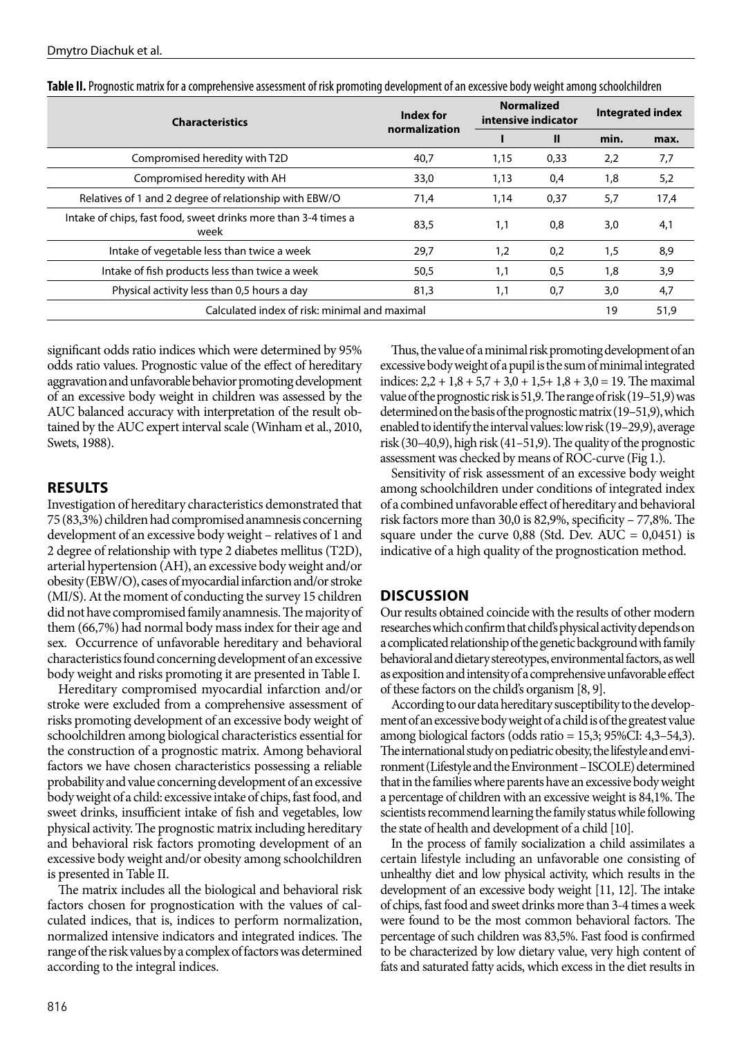| <b>Characteristics</b>                                                 | Index for<br>normalization | <b>Normalized</b><br>intensive indicator |              | Integrated index |      |
|------------------------------------------------------------------------|----------------------------|------------------------------------------|--------------|------------------|------|
|                                                                        |                            |                                          | $\mathbf{I}$ | min.             | max. |
| Compromised heredity with T2D                                          | 40,7                       | 1,15                                     | 0,33         | 2,2              | 7,7  |
| Compromised heredity with AH                                           | 33,0                       | 1,13                                     | 0,4          | 1,8              | 5,2  |
| Relatives of 1 and 2 degree of relationship with EBW/O                 | 71,4                       | 1,14                                     | 0,37         | 5,7              | 17,4 |
| Intake of chips, fast food, sweet drinks more than 3-4 times a<br>week | 83,5                       | 1.1                                      | 0.8          | 3,0              | 4,1  |
| Intake of vegetable less than twice a week                             | 29,7                       | 1,2                                      | 0.2          | 1,5              | 8,9  |
| Intake of fish products less than twice a week                         | 50,5                       | 1,1                                      | 0,5          | 1,8              | 3,9  |
| Physical activity less than 0,5 hours a day                            | 81,3                       | 1,1                                      | 0,7          | 3,0              | 4,7  |
| Calculated index of risk: minimal and maximal                          |                            |                                          |              |                  | 51,9 |

**Table II.** Prognostic matrix for a comprehensive assessment of risk promoting development of an excessive body weight among schoolchildren

significant odds ratio indices which were determined by 95% odds ratio values. Prognostic value of the effect of hereditary aggravation and unfavorable behavior promoting development of an excessive body weight in children was assessed by the AUC balanced accuracy with interpretation of the result obtained by the AUC expert interval scale (Winham et al., 2010, Swets, 1988).

## **RESULTS**

Investigation of hereditary characteristics demonstrated that 75 (83,3%) children had compromised anamnesis concerning development of an excessive body weight – relatives of 1 and 2 degree of relationship with type 2 diabetes mellitus (T2D), arterial hypertension (АH), an excessive body weight and/or obesity (EBW/O), cases of myocardial infarction and/or stroke (MI/S). At the moment of conducting the survey 15 children did not have compromised family anamnesis. The majority of them (66,7%) had normal body mass index for their age and sex. Occurrence of unfavorable hereditary and behavioral characteristics found concerning development of an excessive body weight and risks promoting it are presented in Table І.

Hereditary compromised myocardial infarction and/or stroke were excluded from a comprehensive assessment of risks promoting development of an excessive body weight of schoolchildren among biological characteristics essential for the construction of a prognostic matrix. Among behavioral factors we have chosen characteristics possessing a reliable probability and value concerning development of an excessive body weight of a child: excessive intake of chips, fast food, and sweet drinks, insufficient intake of fish and vegetables, low physical activity. The prognostic matrix including hereditary and behavioral risk factors promoting development of an excessive body weight and/or obesity among schoolchildren is presented in Table ІІ.

The matrix includes all the biological and behavioral risk factors chosen for prognostication with the values of calculated indices, that is, indices to perform normalization, normalized intensive indicators and integrated indices. The range of the risk values by a complex of factors was determined according to the integral indices.

Thus, the value of a minimal risk promoting development of an excessive body weight of a pupil is the sum of minimal integrated indices:  $2,2 + 1,8 + 5,7 + 3,0 + 1,5 + 1,8 + 3,0 = 19$ . The maximal value of the prognostic risk is 51,9. The range of risk (19–51,9) was determined on the basis of the prognostic matrix (19–51,9), which enabled to identify the interval values: low risk (19–29,9), average risk (30–40,9), high risk (41–51,9). The quality of the prognostic assessment was checked by means of ROC-curve (Fig 1.).

Sensitivity of risk assessment of an excessive body weight among schoolchildren under conditions of integrated index of a combined unfavorable effect of hereditary and behavioral risk factors more than 30,0 is 82,9%, specificity – 77,8%. The square under the curve  $0,88$  (Std. Dev. AUC =  $0,0451$ ) is indicative of a high quality of the prognostication method.

## **DISCUSSION**

Our results obtained coincide with the results of other modern researches which confirm that child's physical activity depends on a complicated relationship of the genetic background with family behavioral and dietary stereotypes, environmental factors, as well as exposition and intensity of a comprehensive unfavorable effect of these factors on the child's organism [8, 9].

According to our data hereditary susceptibility to the development of an excessive body weight of a child is of the greatest value among biological factors (odds ratio = 15,3; 95%CІ: 4,3–54,3). The international study on pediatric obesity, the lifestyle and environment (Lifestyle and the Environment – ISCOLE) determined that in the families where parents have an excessive body weight a percentage of children with an excessive weight is 84,1%. The scientists recommend learning the family status while following the state of health and development of a child [10].

In the process of family socialization a child assimilates a certain lifestyle including an unfavorable one consisting of unhealthy diet and low physical activity, which results in the development of an excessive body weight [11, 12]. The intake of chips, fast food and sweet drinks more than 3-4 times a week were found to be the most common behavioral factors. The percentage of such children was 83,5%. Fast food is confirmed to be characterized by low dietary value, very high content of fats and saturated fatty acids, which excess in the diet results in